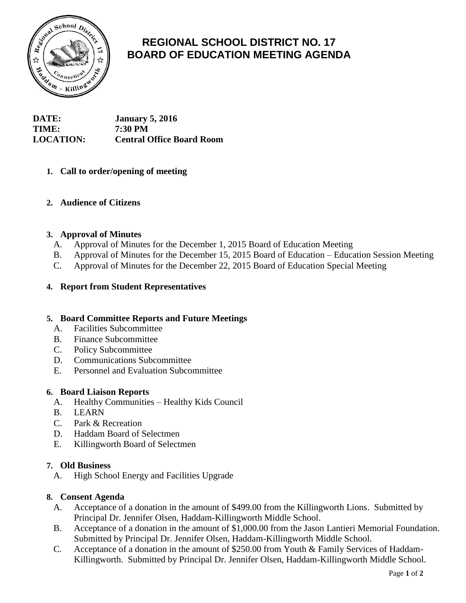

# **REGIONAL SCHOOL DISTRICT NO. 17 BOARD OF EDUCATION MEETING AGENDA**

| <b>DATE:</b>     | <b>January 5, 2016</b>           |
|------------------|----------------------------------|
| <b>TIME:</b>     | <b>7:30 PM</b>                   |
| <b>LOCATION:</b> | <b>Central Office Board Room</b> |

# **1. Call to order/opening of meeting**

# **2. Audience of Citizens**

## **3. Approval of Minutes**

- A. Approval of Minutes for the December 1, 2015 Board of Education Meeting
- B. Approval of Minutes for the December 15, 2015 Board of Education Education Session Meeting
- C. Approval of Minutes for the December 22, 2015 Board of Education Special Meeting

## **4. Report from Student Representatives**

## **5. Board Committee Reports and Future Meetings**

- A. Facilities Subcommittee
- B. Finance Subcommittee
- C. Policy Subcommittee
- D. Communications Subcommittee
- E. Personnel and Evaluation Subcommittee

#### **6. Board Liaison Reports**

- A. Healthy Communities Healthy Kids Council
- B. LEARN
- C. Park & Recreation
- D. Haddam Board of Selectmen
- E. Killingworth Board of Selectmen

## **7. Old Business**

A. High School Energy and Facilities Upgrade

## **8. Consent Agenda**

- A. Acceptance of a donation in the amount of \$499.00 from the Killingworth Lions. Submitted by Principal Dr. Jennifer Olsen, Haddam-Killingworth Middle School.
- B. Acceptance of a donation in the amount of \$1,000.00 from the Jason Lantieri Memorial Foundation. Submitted by Principal Dr. Jennifer Olsen, Haddam-Killingworth Middle School.
- C. Acceptance of a donation in the amount of \$250.00 from Youth & Family Services of Haddam-Killingworth. Submitted by Principal Dr. Jennifer Olsen, Haddam-Killingworth Middle School.